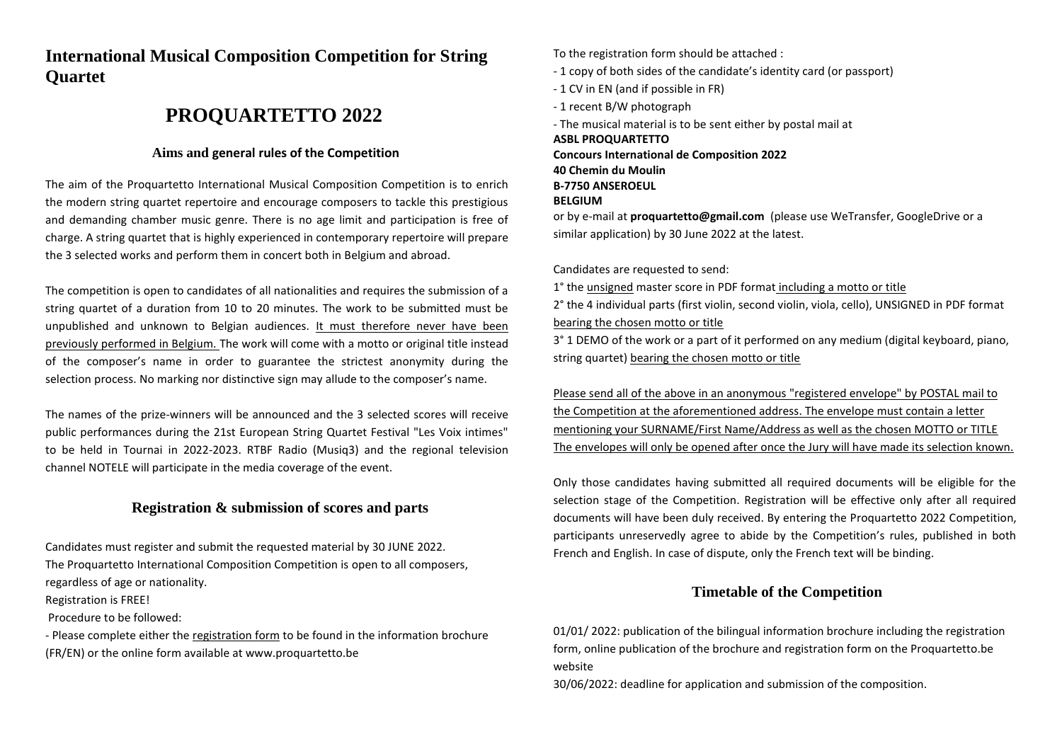## **International Musical Composition Competition for String Quartet**

## **PROQUARTETTO 2022**

## **Aims and general rules of the Competition**

The aim of the Proquartetto International Musical Composition Competition is to enrich the modern string quartet repertoire and encourage composers to tackle this prestigious and demanding chamber music genre. There is no age limit and participation is free of charge. A string quartet that is highly experienced in contemporary repertoire will prepare the 3 selected works and perform them in concert both in Belgium and abroad.

The competition is open to candidates of all nationalities and requires the submission of a string quartet of a duration from 10 to 20 minutes. The work to be submitted must be unpublished and unknown to Belgian audiences. It must therefore never have been previously performed in Belgium. The work will come with a motto or original title instead of the composer's name in order to guarantee the strictest anonymity during the selection process. No marking nor distinctive sign may allude to the composer's name.

The names of the prize-winners will be announced and the 3 selected scores will receive public performances during the 21st European String Quartet Festival "Les Voix intimes" to be held in Tournai in 2022-2023. RTBF Radio (Musiq3) and the regional television channel NOTELE will participate in the media coverage of the event.

## **Registration & submission of scores and parts**

Candidates must register and submit the requested material by 30 JUNE 2022. The Proquartetto International Composition Competition is open to all composers, regardless of age or nationality.

Registration is FREE!

Procedure to be followed:

- Please complete either the registration form to be found in the information brochure (FR/EN) or the online form available at www.proquartetto.be

To the registration form should be attached :

- 1 copy of both sides of the candidate's identity card (or passport)
- 1 CV in EN (and if possible in FR)
- 1 recent B/W photograph

- The musical material is to be sent either by postal mail at

**ASBL PROQUARTETTO Concours International de Composition 2022 40 Chemin du Moulin B-7750 ANSEROEUL BELGIUM** or by e-mail at **proquartetto@gmail.com** (please use WeTransfer, GoogleDrive or a

similar application) by 30 June 2022 at the latest.

Candidates are requested to send:

1° the unsigned master score in PDF format including a motto or title

2° the 4 individual parts (first violin, second violin, viola, cello), UNSIGNED in PDF format bearing the chosen motto or title

3° 1 DEMO of the work or a part of it performed on any medium (digital keyboard, piano, string quartet) bearing the chosen motto or title

Please send all of the above in an anonymous "registered envelope" by POSTAL mail to the Competition at the aforementioned address. The envelope must contain a letter mentioning your SURNAME/First Name/Address as well as the chosen MOTTO or TITLE The envelopes will only be opened after once the Jury will have made its selection known.

Only those candidates having submitted all required documents will be eligible for the selection stage of the Competition. Registration will be effective only after all required documents will have been duly received. By entering the Proquartetto 2022 Competition, participants unreservedly agree to abide by the Competition's rules, published in both French and English. In case of dispute, only the French text will be binding.

## **Timetable of the Competition**

01/01/ 2022: publication of the bilingual information brochure including the registration form, online publication of the brochure and registration form on the Proquartetto.be website

30/06/2022: deadline for application and submission of the composition.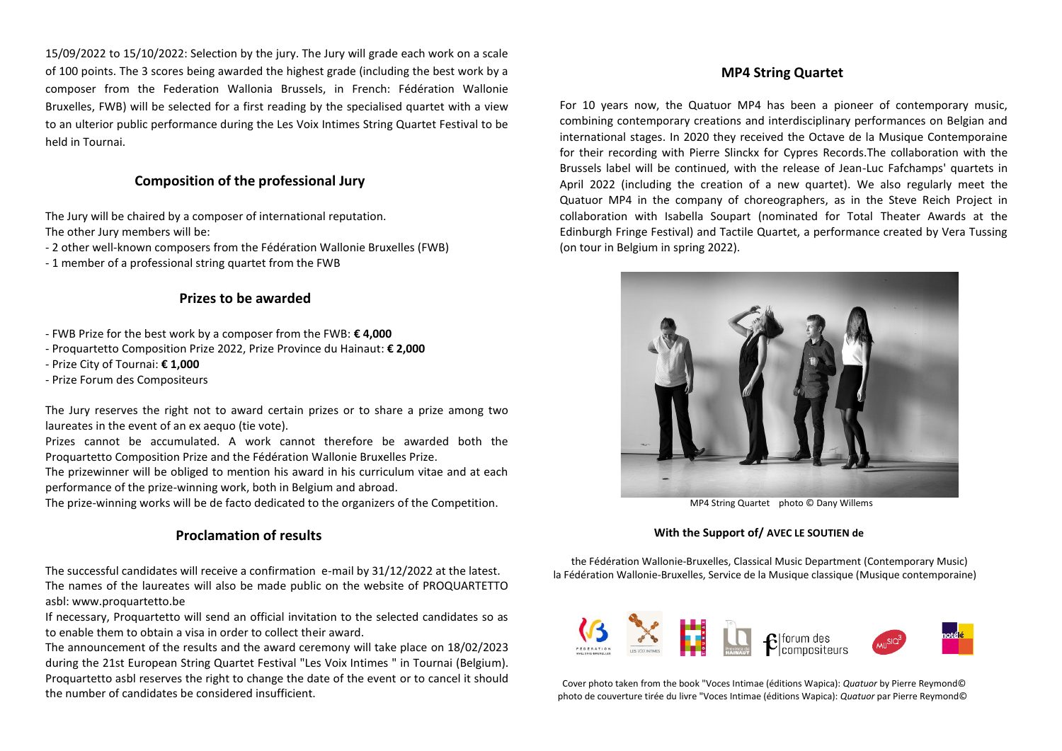15/09/2022 to 15/10/2022: Selection by the jury. The Jury will grade each work on a scale of 100 points. The 3 scores being awarded the highest grade (including the best work by a composer from the Federation Wallonia Brussels, in French: Fédération Wallonie Bruxelles, FWB) will be selected for a first reading by the specialised quartet with a view to an ulterior public performance during the Les Voix Intimes String Quartet Festival to be held in Tournai.

## **Composition of the professional Jury**

The Jury will be chaired by a composer of international reputation. The other Jury members will be:

- 2 other well-known composers from the Fédération Wallonie Bruxelles (FWB)

- 1 member of a professional string quartet from the FWB

### **Prizes to be awarded**

- FWB Prize for the best work by a composer from the FWB: **€ 4,000**
- Proquartetto Composition Prize 2022, Prize Province du Hainaut: **€ 2,000**
- Prize City of Tournai: **€ 1,000**
- Prize Forum des Compositeurs

The Jury reserves the right not to award certain prizes or to share a prize among two laureates in the event of an ex aequo (tie vote).

Prizes cannot be accumulated. A work cannot therefore be awarded both the Proquartetto Composition Prize and the Fédération Wallonie Bruxelles Prize.

The prizewinner will be obliged to mention his award in his curriculum vitae and at each performance of the prize-winning work, both in Belgium and abroad.

The prize-winning works will be de facto dedicated to the organizers of the Competition.

## **Proclamation of results**

The successful candidates will receive a confirmation e-mail by 31/12/2022 at the latest. The names of the laureates will also be made public on the website of PROQUARTETTO asbl: www.proquartetto.be

If necessary, Proquartetto will send an official invitation to the selected candidates so as to enable them to obtain a visa in order to collect their award.

The announcement of the results and the award ceremony will take place on 18/02/2023 during the 21st European String Quartet Festival "Les Voix Intimes " in Tournai (Belgium). Proquartetto asbl reserves the right to change the date of the event or to cancel it should the number of candidates be considered insufficient.

## **MP4 String Quartet**

For 10 years now, the Quatuor MP4 has been a pioneer of contemporary music, combining contemporary creations and interdisciplinary performances on Belgian and international stages. In 2020 they received the Octave de la Musique Contemporaine for their recording with Pierre Slinckx for Cypres Records.The collaboration with the Brussels label will be continued, with the release of Jean-Luc Fafchamps' quartets in April 2022 (including the creation of a new quartet). We also regularly meet the Quatuor MP4 in the company of choreographers, as in the Steve Reich Project in collaboration with Isabella Soupart (nominated for Total Theater Awards at the Edinburgh Fringe Festival) and Tactile Quartet, a performance created by Vera Tussing (on tour in Belgium in spring 2022).



MP4 String Quartet photo © Dany Willems

### **With the Support of/ AVEC LE SOUTIEN de**

 the Fédération Wallonie-Bruxelles, Classical Music Department (Contemporary Music) la Fédération Wallonie-Bruxelles, Service de la Musique classique (Musique contemporaine)



 Cover photo taken from the book "Voces Intimae (éditions Wapica): *Quatuor* by Pierre Reymond© photo de couverture tirée du livre "Voces Intimae (éditions Wapica): *Quatuor* par Pierre Reymond©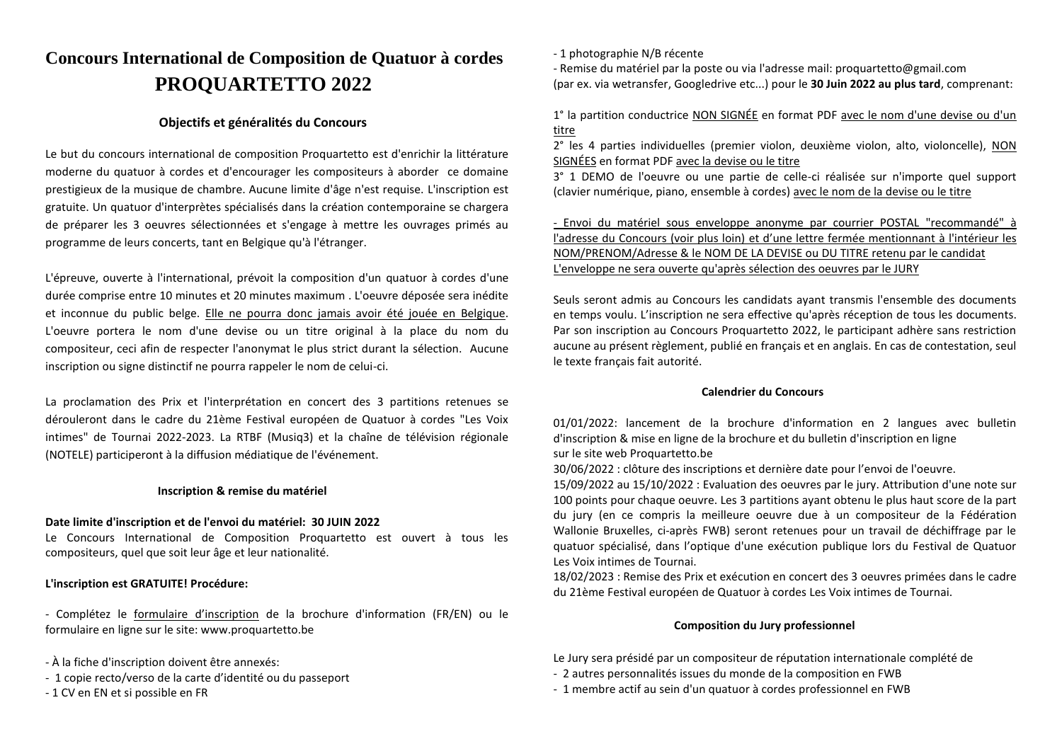# **Concours International de Composition de Quatuor à cordes PROQUARTETTO 2022**

### **Objectifs et généralités du Concours**

Le but du concours international de composition Proquartetto est d'enrichir la littérature moderne du quatuor à cordes et d'encourager les compositeurs à aborder ce domaine prestigieux de la musique de chambre. Aucune limite d'âge n'est requise. L'inscription est gratuite. Un quatuor d'interprètes spécialisés dans la création contemporaine se chargera de préparer les 3 oeuvres sélectionnées et s'engage à mettre les ouvrages primés au programme de leurs concerts, tant en Belgique qu'à l'étranger.

L'épreuve, ouverte à l'international, prévoit la composition d'un quatuor à cordes d'une durée comprise entre 10 minutes et 20 minutes maximum . L'oeuvre déposée sera inédite et inconnue du public belge. Elle ne pourra donc jamais avoir été jouée en Belgique. L'oeuvre portera le nom d'une devise ou un titre original à la place du nom du compositeur, ceci afin de respecter l'anonymat le plus strict durant la sélection. Aucune inscription ou signe distinctif ne pourra rappeler le nom de celui-ci.

La proclamation des Prix et l'interprétation en concert des 3 partitions retenues se dérouleront dans le cadre du 21ème Festival européen de Quatuor à cordes "Les Voix intimes" de Tournai 2022-2023. La RTBF (Musiq3) et la chaîne de télévision régionale (NOTELE) participeront à la diffusion médiatique de l'événement.

### **Inscription & remise du matériel**

### **Date limite d'inscription et de l'envoi du matériel: 30 JUIN 2022**

Le Concours International de Composition Proquartetto est ouvert à tous les compositeurs, quel que soit leur âge et leur nationalité.

### **L'inscription est GRATUITE! Procédure:**

- Complétez le formulaire d'inscription de la brochure d'information (FR/EN) ou le formulaire en ligne sur le site: www.proquartetto.be

- À la fiche d'inscription doivent être annexés:

- 1 copie recto/verso de la carte d'identité ou du passeport
- 1 CV en EN et si possible en FR

- 1 photographie N/B récente

- Remise du matériel par la poste ou via l'adresse mail: proquartetto@gmail.com (par ex. via wetransfer, Googledrive etc...) pour le **30 Juin 2022 au plus tard**, comprenant:

1° la partition conductrice NON SIGNÉE en format PDF avec le nom d'une devise ou d'un titre

2° les 4 parties individuelles (premier violon, deuxième violon, alto, violoncelle), NON SIGNÉES en format PDF avec la devise ou le titre

3° 1 DEMO de l'oeuvre ou une partie de celle-ci réalisée sur n'importe quel support (clavier numérique, piano, ensemble à cordes) avec le nom de la devise ou le titre

- Envoi du matériel sous enveloppe anonyme par courrier POSTAL "recommandé" à l'adresse du Concours (voir plus loin) et d'une lettre fermée mentionnant à l'intérieur les NOM/PRENOM/Adresse & le NOM DE LA DEVISE ou DU TITRE retenu par le candidat L'enveloppe ne sera ouverte qu'après sélection des oeuvres par le JURY

Seuls seront admis au Concours les candidats ayant transmis l'ensemble des documents en temps voulu. L'inscription ne sera effective qu'après réception de tous les documents. Par son inscription au Concours Proquartetto 2022, le participant adhère sans restriction aucune au présent règlement, publié en français et en anglais. En cas de contestation, seul le texte français fait autorité.

### **Calendrier du Concours**

01/01/2022: lancement de la brochure d'information en 2 langues avec bulletin d'inscription & mise en ligne de la brochure et du bulletin d'inscription en ligne sur le site web Proquartetto.be

30/06/2022 : clôture des inscriptions et dernière date pour l'envoi de l'oeuvre.

15/09/2022 au 15/10/2022 : Evaluation des oeuvres par le jury. Attribution d'une note sur 100 points pour chaque oeuvre. Les 3 partitions ayant obtenu le plus haut score de la part du jury (en ce compris la meilleure oeuvre due à un compositeur de la Fédération Wallonie Bruxelles, ci-après FWB) seront retenues pour un travail de déchiffrage par le quatuor spécialisé, dans l'optique d'une exécution publique lors du Festival de Quatuor Les Voix intimes de Tournai.

18/02/2023 : Remise des Prix et exécution en concert des 3 oeuvres primées dans le cadre du 21ème Festival européen de Quatuor à cordes Les Voix intimes de Tournai.

### **Composition du Jury professionnel**

- Le Jury sera présidé par un compositeur de réputation internationale complété de
- 2 autres personnalités issues du monde de la composition en FWB
- 1 membre actif au sein d'un quatuor à cordes professionnel en FWB